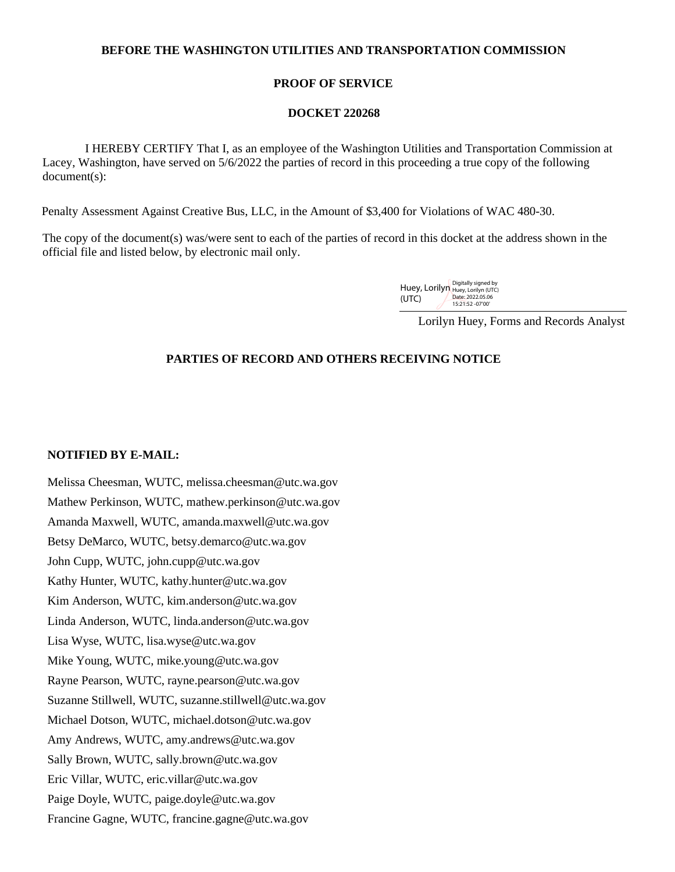## **BEFORE THE WASHINGTON UTILITIES AND TRANSPORTATION COMMISSION**

## **PROOF OF SERVICE**

#### **DOCKET 220268**

 I HEREBY CERTIFY That I, as an employee of the Washington Utilities and Transportation Commission at Lacey, Washington, have served on 5/6/2022 the parties of record in this proceeding a true copy of the following document(s):

Penalty Assessment Against Creative Bus, LLC, in the Amount of \$3,400 for Violations of WAC 480-30.

The copy of the document(s) was/were sent to each of the parties of record in this docket at the address shown in the official file and listed below, by electronic mail only.

| Huey, Lorilyn Digitally signed by |                                      |
|-----------------------------------|--------------------------------------|
| (UTC)                             | Date: 2022.05.06<br>15:21:52 -07'00' |

Lorilyn Huey, Forms and Records Analyst

# **PARTIES OF RECORD AND OTHERS RECEIVING NOTICE**

## **NOTIFIED BY E-MAIL:**

Melissa Cheesman, WUTC, melissa.cheesman@utc.wa.gov Mathew Perkinson, WUTC, mathew.perkinson@utc.wa.gov Amanda Maxwell, WUTC, amanda.maxwell@utc.wa.gov Betsy DeMarco, WUTC, betsy.demarco@utc.wa.gov John Cupp, WUTC, john.cupp@utc.wa.gov Kathy Hunter, WUTC, kathy.hunter@utc.wa.gov Kim Anderson, WUTC, kim.anderson@utc.wa.gov Linda Anderson, WUTC, linda.anderson@utc.wa.gov Lisa Wyse, WUTC, lisa.wyse@utc.wa.gov Mike Young, WUTC, mike.young@utc.wa.gov Rayne Pearson, WUTC, rayne.pearson@utc.wa.gov Suzanne Stillwell, WUTC, suzanne.stillwell@utc.wa.gov Michael Dotson, WUTC, michael.dotson@utc.wa.gov Amy Andrews, WUTC, amy.andrews@utc.wa.gov Sally Brown, WUTC, sally.brown@utc.wa.gov Eric Villar, WUTC, eric.villar@utc.wa.gov Paige Doyle, WUTC, paige.doyle@utc.wa.gov Francine Gagne, WUTC, francine.gagne@utc.wa.gov